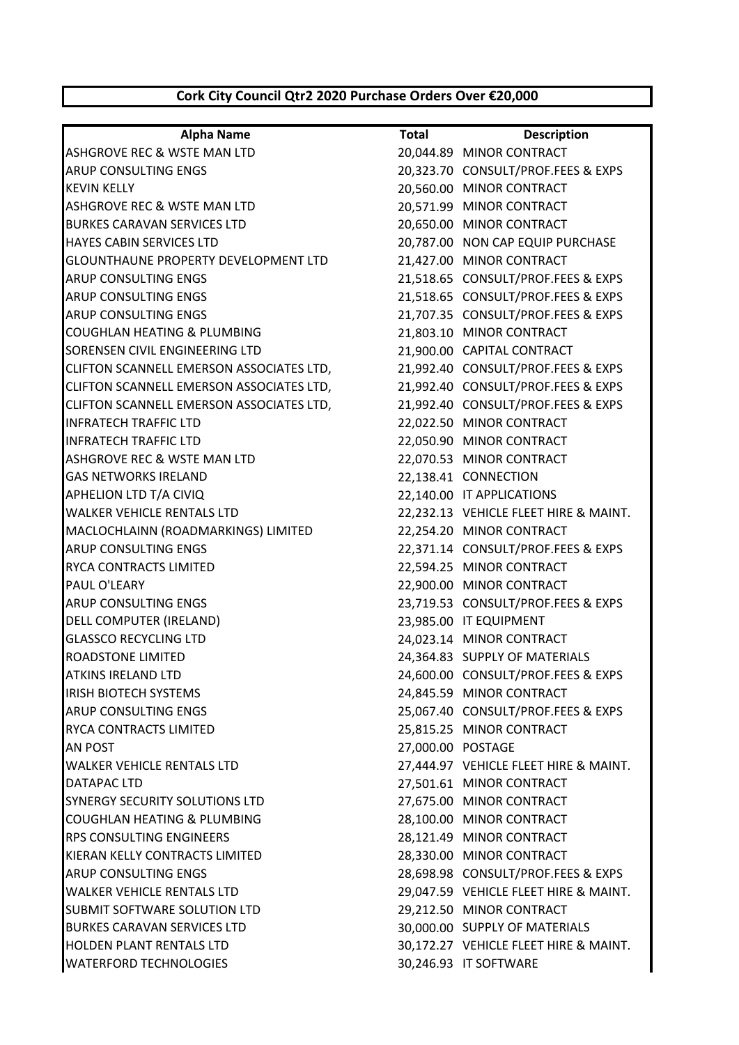## **Cork City Council Qtr2 2020 Purchase Orders Over €20,000**

| <b>Alpha Name</b>                           | <b>Total</b> | <b>Description</b>                    |
|---------------------------------------------|--------------|---------------------------------------|
| ASHGROVE REC & WSTE MAN LTD                 |              | 20,044.89 MINOR CONTRACT              |
| ARUP CONSULTING ENGS                        |              | 20,323.70 CONSULT/PROF.FEES & EXPS    |
| <b>KEVIN KELLY</b>                          |              | 20,560.00 MINOR CONTRACT              |
| ASHGROVE REC & WSTE MAN LTD                 |              | 20,571.99 MINOR CONTRACT              |
| <b>BURKES CARAVAN SERVICES LTD</b>          |              | 20,650.00 MINOR CONTRACT              |
| HAYES CABIN SERVICES LTD                    |              | 20,787.00 NON CAP EQUIP PURCHASE      |
| <b>GLOUNTHAUNE PROPERTY DEVELOPMENT LTD</b> |              | 21,427.00 MINOR CONTRACT              |
| <b>ARUP CONSULTING ENGS</b>                 |              | 21,518.65 CONSULT/PROF.FEES & EXPS    |
| <b>ARUP CONSULTING ENGS</b>                 |              | 21,518.65 CONSULT/PROF.FEES & EXPS    |
| ARUP CONSULTING ENGS                        |              | 21,707.35 CONSULT/PROF.FEES & EXPS    |
| COUGHLAN HEATING & PLUMBING                 |              | 21,803.10 MINOR CONTRACT              |
| SORENSEN CIVIL ENGINEERING LTD              |              | 21,900.00 CAPITAL CONTRACT            |
| CLIFTON SCANNELL EMERSON ASSOCIATES LTD,    |              | 21,992.40 CONSULT/PROF.FEES & EXPS    |
| CLIFTON SCANNELL EMERSON ASSOCIATES LTD,    |              | 21,992.40 CONSULT/PROF.FEES & EXPS    |
| CLIFTON SCANNELL EMERSON ASSOCIATES LTD,    |              | 21,992.40 CONSULT/PROF.FEES & EXPS    |
| <b>INFRATECH TRAFFIC LTD</b>                |              | 22,022.50 MINOR CONTRACT              |
| <b>INFRATECH TRAFFIC LTD</b>                |              | 22,050.90 MINOR CONTRACT              |
| ASHGROVE REC & WSTE MAN LTD                 |              | 22,070.53 MINOR CONTRACT              |
| <b>GAS NETWORKS IRELAND</b>                 |              | 22,138.41 CONNECTION                  |
| APHELION LTD T/A CIVIQ                      |              | 22,140.00 IT APPLICATIONS             |
| <b>WALKER VEHICLE RENTALS LTD</b>           |              | 22,232.13 VEHICLE FLEET HIRE & MAINT. |
| MACLOCHLAINN (ROADMARKINGS) LIMITED         |              | 22,254.20 MINOR CONTRACT              |
| ARUP CONSULTING ENGS                        |              | 22,371.14 CONSULT/PROF.FEES & EXPS    |
| RYCA CONTRACTS LIMITED                      |              | 22,594.25 MINOR CONTRACT              |
| PAUL O'LEARY                                |              | 22,900.00 MINOR CONTRACT              |
| <b>ARUP CONSULTING ENGS</b>                 |              | 23,719.53 CONSULT/PROF.FEES & EXPS    |
| DELL COMPUTER (IRELAND)                     |              | 23,985.00 IT EQUIPMENT                |
| <b>GLASSCO RECYCLING LTD</b>                |              | 24,023.14 MINOR CONTRACT              |
| ROADSTONE LIMITED                           |              | 24,364.83 SUPPLY OF MATERIALS         |
| <b>ATKINS IRELAND LTD</b>                   |              | 24,600.00 CONSULT/PROF.FEES & EXPS    |
| <b>IRISH BIOTECH SYSTEMS</b>                |              | 24,845.59 MINOR CONTRACT              |
| <b>ARUP CONSULTING ENGS</b>                 |              | 25,067.40 CONSULT/PROF.FEES & EXPS    |
| RYCA CONTRACTS LIMITED                      |              | 25,815.25 MINOR CONTRACT              |
| AN POST                                     |              | 27,000.00 POSTAGE                     |
| <b>WALKER VEHICLE RENTALS LTD</b>           |              | 27,444.97 VEHICLE FLEET HIRE & MAINT. |
| DATAPAC LTD                                 |              | 27,501.61 MINOR CONTRACT              |
| SYNERGY SECURITY SOLUTIONS LTD              |              | 27,675.00 MINOR CONTRACT              |
| COUGHLAN HEATING & PLUMBING                 |              | 28,100.00 MINOR CONTRACT              |
| RPS CONSULTING ENGINEERS                    |              | 28,121.49 MINOR CONTRACT              |
| KIERAN KELLY CONTRACTS LIMITED              |              | 28,330.00 MINOR CONTRACT              |
| ARUP CONSULTING ENGS                        |              | 28,698.98 CONSULT/PROF.FEES & EXPS    |
| <b>WALKER VEHICLE RENTALS LTD</b>           |              | 29,047.59 VEHICLE FLEET HIRE & MAINT. |
| SUBMIT SOFTWARE SOLUTION LTD                |              | 29,212.50 MINOR CONTRACT              |
| <b>BURKES CARAVAN SERVICES LTD</b>          |              | 30,000.00 SUPPLY OF MATERIALS         |
| HOLDEN PLANT RENTALS LTD                    |              | 30,172.27 VEHICLE FLEET HIRE & MAINT. |
| <b>WATERFORD TECHNOLOGIES</b>               |              | 30,246.93 IT SOFTWARE                 |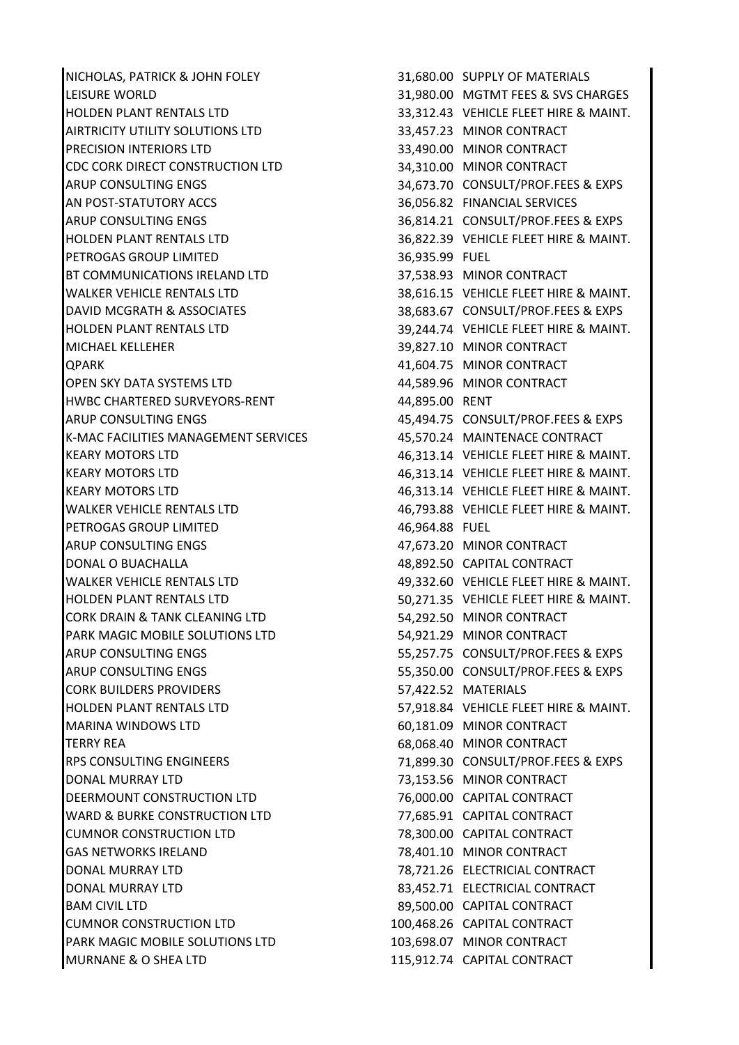NICHOLAS, PATRICK & JOHN FOLEY 31,680.00 SUPPLY OF MATERIALS LEISURE WORLD 31,980.00 MGTMT FEES & SVS CHARGES HOLDEN PLANT RENTALS LTD 33,312.43 VEHICLE FLEET HIRE & MAINT. AIRTRICITY UTILITY SOLUTIONS LTD 33,457.23 MINOR CONTRACT PRECISION INTERIORS LTD 33,490.00 MINOR CONTRACT CDC CORK DIRECT CONSTRUCTION LTD 34,310.00 MINOR CONTRACT ARUP CONSULTING ENGS THE SALE OF SALE 34,673.70 CONSULT/PROF.FEES & EXPS AN POST-STATUTORY ACCS **1998 120 SERVICES** 36,056.82 FINANCIAL SERVICES ARUP CONSULTING ENGS THE SAME CONSULT ON SALES A SEXPS 36,814.21 CONSULT/PROF.FEES & EXPS HOLDEN PLANT RENTALS LTD 36,822.39 VEHICLE FLEET HIRE & MAINT. PETROGAS GROUP LIMITED 36,935.99 FUEL BT COMMUNICATIONS IRELAND LTD 37,538.93 MINOR CONTRACT WALKER VEHICLE RENTALS LTD **38,616.15 VEHICLE FLEET HIRE & MAINT.** DAVID MCGRATH & ASSOCIATES 38,683.67 CONSULT/PROF.FEES & EXPS HOLDEN PLANT RENTALS LTD 39,244.74 VEHICLE FLEET HIRE & MAINT. MICHAEL KELLEHER 39,827.10 MINOR CONTRACT QPARK 41,604.75 MINOR CONTRACT OPEN SKY DATA SYSTEMS LTD 44,589.96 MINOR CONTRACT HWBC CHARTERED SURVEYORS-RENT 44,895.00 RENT ARUP CONSULTING ENGS THE RESERVIEW AS A 45,494.75 CONSULT/PROF.FEES & EXPS K-MAC FACILITIES MANAGEMENT SERVICES 45,570.24 MAINTENACE CONTRACT KEARY MOTORS LTD 46,313.14 VEHICLE FLEET HIRE & MAINT. KEARY MOTORS LTD **ACCOUNT ASSESSED ASSESSED** 46,313.14 VEHICLE FLEET HIRE & MAINT. KEARY MOTORS LTD 46,313.14 VEHICLE FLEET HIRE & MAINT. WALKER VEHICLE RENTALS LTD **46,793.88** VEHICLE FLEET HIRE & MAINT. PETROGAS GROUP LIMITED 46,964.88 FUEL ARUP CONSULTING ENGS **ARUP CONSULTING ENGS 1** AT 67673.20 MINOR CONTRACT DONAL O BUACHALLA 48,892.50 CAPITAL CONTRACT WALKER VEHICLE RENTALS LTD 49,332.60 VEHICLE FLEET HIRE & MAINT. HOLDEN PLANT RENTALS LTD **1.2008 TEAM STATES 100 SOLET STATES AND STATES AND STATES AND STATES AND STATES AND ST** CORK DRAIN & TANK CLEANING LTD **54,292.50 MINOR CONTRACT** PARK MAGIC MOBILE SOLUTIONS LTD 54,921.29 MINOR CONTRACT ARUP CONSULTING ENGS 65,257.75 CONSULT/PROF.FEES & EXPS ARUP CONSULTING ENGS THE SAME CONSULT ON STRUCK SERVICE SERVICE SERVICE SERVICE SERVICE SERVICE SERVICE SERVICE CORK BUILDERS PROVIDERS 57,422.52 MATERIALS HOLDEN PLANT RENTALS LTD 57,918.84 VEHICLE FLEET HIRE & MAINT. MARINA WINDOWS LTD 60,181.09 MINOR CONTRACT TERRY REA 68,068.40 MINOR CONTRACT RPS CONSULTING ENGINEERS 71,899.30 CONSULT/PROF.FEES & EXPS DONAL MURRAY LTD 73,153.56 MINOR CONTRACT DEERMOUNT CONSTRUCTION LTD 76,000.00 CAPITAL CONTRACT WARD & BURKE CONSTRUCTION LTD 77,685.91 CAPITAL CONTRACT CUMNOR CONSTRUCTION LTD 78,300.00 CAPITAL CONTRACT GAS NETWORKS IRELAND 78,401.10 MINOR CONTRACT DONAL MURRAY LTD 78,721.26 ELECTRICIAL CONTRACT DONAL MURRAY LTD 83,452.71 ELECTRICIAL CONTRACT BAM CIVIL LTD **89,500.00 CAPITAL CONTRACT** CUMNOR CONSTRUCTION LTD 100,468.26 CAPITAL CONTRACT PARK MAGIC MOBILE SOLUTIONS LTD 103,698.07 MINOR CONTRACT MURNANE & O SHEA LTD 115,912.74 CAPITAL CONTRACT